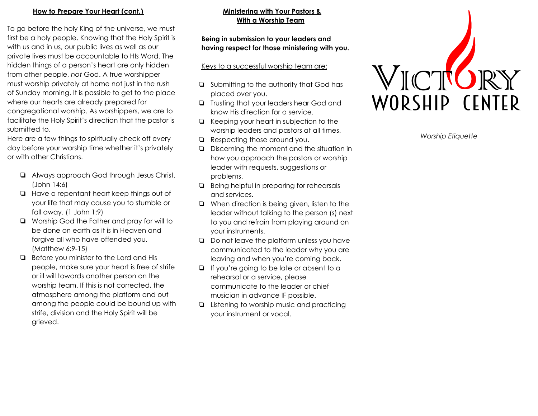#### <u>How to Prepare Your Heart (cont.)</u>

To go before the holy King of the universe, we must first be a holy people. Knowing that the Holy Spirit is with us and in us, our public lives as well as our private lives must be accountable to HIs Word. The hidden things of a person's heart are only hidden from other people, not God. A true worshipper must worship privately at home not just in the rush of Sunday morning. It is possible to get to the place where our hearts are already prepared for congregational worship. As worshippers, we are to facilitate the Holy Spirit's direction that the pastor is s u b mit t e d t o. **Drepare Your Heart (cont.)**<br>
The holy King of the universe, we must<br>
use a cocurrolloic lives as well as our public lives as well as our source to the same of a person's heart are only hidden<br>
or the of a person's heart a

Here are a few things to spiritually check off every day before your worship time whether it's privately or with other Christians.

- □ Always approach God through Jesus Christ. (John 14:6)
- □ Have a repentant heart keep things out of your life that may cause you to stumble or f all a w a y. ( 1 J o h n 1:9 )
- □ Worship God the Father and pray for will to be done on earth as it is in Heaven and forgive all who have offended you. (Matthew 6:9-15)
- □ Before you minister to the Lord and His people, make sure your heart is free of strife or ill will towards another person on the worship team. If this is not corrected, the atmosphere among the platform and out among the people could be bound up with s t rif e , divisio n a n d t h e H oly S pirit will b e grieve

## <u>inistering with Your Pastors & </u> **W it h a W o r s h i p T e a m**

### Being in submission to your leaders and having respect for those ministering with you.

#### <u>Keys to a successful worship team are:</u>

- **□** Submitting to the authority that God has placed over you.
- □ Trusting that your leaders hear God and know His direction for a service.
- □ Keeping your heart in subjection to the worship leaders and pastors at all times.
- ❏ Respecting those around you.
- ❏ Discerning the moment and the situatio n in how you approach the pastors or worship leader with requests, suggestions or problems.
- ❏ Being helpful in preparing for rehearsals and services.
- ❏ When direction is being given, listen to the leader without talking to the person (s) nex t to you and refrain from playing around on your instruments. Respecting those around you.<br>
Discerning the moment and the situation in<br>
how you approach the pastors or worship<br>
leader with requests, suggestions or<br>
problems.<br>
Being helpful in preparing for rehearsals<br>
and services.<br>
- □ Do not leave the platform unless you have communicated to the leader why you are leaving and when you're coming back.
- ❏ If you're going to be late or absent to a rehearsal or a service, please communicate to the leader or chief musician in advance IF possible.
- ❏ Listening to worship music and practicing



*o rs h i p E t i q u e t t e*